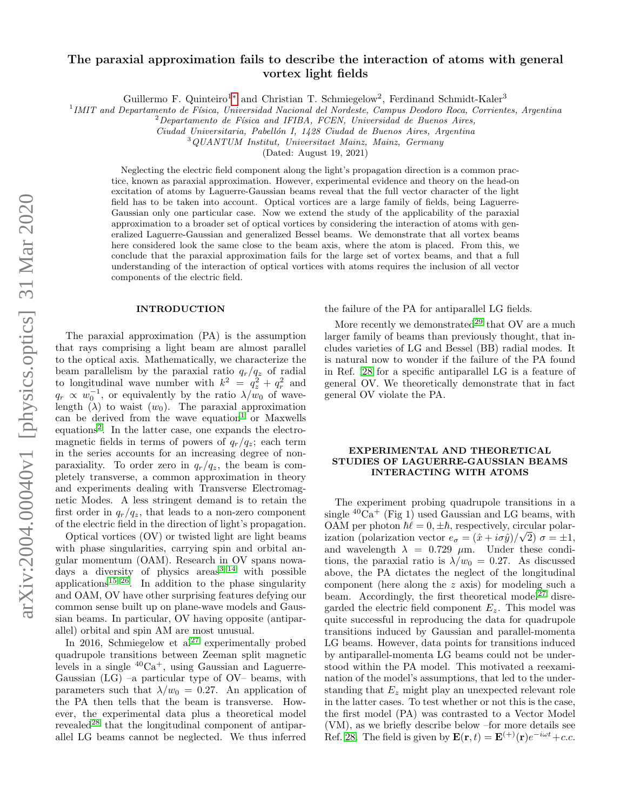# arXiv:2004.00040v1 [physics.optics] 31 Mar 2020 arXiv:2004.00040v1 [physics.optics] 31 Mar 2020

# The paraxial approximation fails to describe the interaction of atoms with general vortex light fields

Guillermo F. Quinteiro<sup>1</sup><sup>\*</sup> and Christian T. Schmiegelow<sup>2</sup>, Ferdinand Schmidt-Kaler<sup>3</sup>

<sup>1</sup> IMIT and Departamento de Física, Universidad Nacional del Nordeste, Campus Deodoro Roca, Corrientes, Argentina

 $2$ Departamento de Física and IFIBA, FCEN, Universidad de Buenos Aires,

Ciudad Universitaria, Pabellón I, 1428 Ciudad de Buenos Aires, Argentina

<sup>3</sup>QUANTUM Institut, Universitaet Mainz, Mainz, Germany

(Dated: August 19, 2021)

Neglecting the electric field component along the light's propagation direction is a common practice, known as paraxial approximation. However, experimental evidence and theory on the head-on excitation of atoms by Laguerre-Gaussian beams reveal that the full vector character of the light field has to be taken into account. Optical vortices are a large family of fields, being Laguerre-Gaussian only one particular case. Now we extend the study of the applicability of the paraxial approximation to a broader set of optical vortices by considering the interaction of atoms with generalized Laguerre-Gaussian and generalized Bessel beams. We demonstrate that all vortex beams here considered look the same close to the beam axis, where the atom is placed. From this, we conclude that the paraxial approximation fails for the large set of vortex beams, and that a full understanding of the interaction of optical vortices with atoms requires the inclusion of all vector components of the electric field.

### INTRODUCTION

The paraxial approximation (PA) is the assumption that rays comprising a light beam are almost parallel to the optical axis. Mathematically, we characterize the beam parallelism by the paraxial ratio  $q_r/q_z$  of radial to longitudinal wave number with  $k^2 = q_z^2 + q_r^2$  and  $q_r \propto w_0^{-1}$ , or equivalently by the ratio  $\lambda/w_0$  of wavelength  $(\lambda)$  to waist  $(w_0)$ . The paraxial approximation can be derived from the wave equation<sup>[1](#page-2-1)</sup> or Maxwells equations<sup>[2](#page-2-2)</sup>. In the latter case, one expands the electromagnetic fields in terms of powers of  $q_r/q_z$ ; each term in the series accounts for an increasing degree of nonparaxiality. To order zero in  $q_r/q_z$ , the beam is completely transverse, a common approximation in theory and experiments dealing with Transverse Electromagnetic Modes. A less stringent demand is to retain the first order in  $q_r/q_z$ , that leads to a non-zero component of the electric field in the direction of light's propagation.

Optical vortices (OV) or twisted light are light beams with phase singularities, carrying spin and orbital angular momentum (OAM). Research in OV spans nowadays a diversity of physics  $\arccos^{3-14}$  $\arccos^{3-14}$  $\arccos^{3-14}$  with possible applications<sup>[15](#page-2-5)[–26](#page-3-0)</sup>. In addition to the phase singularity and OAM, OV have other surprising features defying our common sense built up on plane-wave models and Gaussian beams. In particular, OV having opposite (antiparallel) orbital and spin AM are most unusual.

In 2016, Schmiegelow et  $al^{27}$  $al^{27}$  $al^{27}$  experimentally probed quadrupole transitions between Zeeman split magnetic levels in a single  ${}^{40}Ca^+$ , using Gaussian and Laguerre-Gaussian  $(LG)$  –a particular type of  $O<sub>V</sub>$  beams, with parameters such that  $\lambda/w_0 = 0.27$ . An application of the PA then tells that the beam is transverse. However, the experimental data plus a theoretical model revealed<sup>[28](#page-3-2)</sup> that the longitudinal component of antiparallel LG beams cannot be neglected. We thus inferred the failure of the PA for antiparallel LG fields.

More recently we demonstrated<sup>[29](#page-3-3)</sup> that  $\text{OV}$  are a much larger family of beams than previously thought, that includes varieties of LG and Bessel (BB) radial modes. It is natural now to wonder if the failure of the PA found in Ref. [28](#page-3-2) for a specific antiparallel LG is a feature of general OV. We theoretically demonstrate that in fact general OV violate the PA.

# EXPERIMENTAL AND THEORETICAL STUDIES OF LAGUERRE-GAUSSIAN BEAMS INTERACTING WITH ATOMS

The experiment probing quadrupole transitions in a single  ${}^{40}Ca<sup>+</sup>$  (Fig 1) used Gaussian and LG beams, with OAM per photon  $\hbar \ell = 0, \pm \hbar$ , respectively, circular polarization (polarization vector  $e_{\sigma} = (\hat{x} + i\sigma \hat{y})/\sqrt{2} \ \sigma = \pm 1$ , and wavelength  $\lambda = 0.729 \mu m$ . Under these conditions, the paraxial ratio is  $\lambda/w_0 = 0.27$ . As discussed above, the PA dictates the neglect of the longitudinal component (here along the z axis) for modeling such a beam. Accordingly, the first theoretical model<sup>[27](#page-3-1)</sup> disregarded the electric field component  $E_z$ . This model was quite successful in reproducing the data for quadrupole transitions induced by Gaussian and parallel-momenta LG beams. However, data points for transitions induced by antiparallel-momenta LG beams could not be understood within the PA model. This motivated a reexamination of the model's assumptions, that led to the understanding that  $E_z$  might play an unexpected relevant role in the latter cases. To test whether or not this is the case, the first model (PA) was contrasted to a Vector Model (VM), as we briefly describe below –for more details see Ref. [28.](#page-3-2) The field is given by  $\mathbf{E}(\mathbf{r},t) = \mathbf{E}^{(+)}(\mathbf{r})e^{-i\omega t} + c.c.$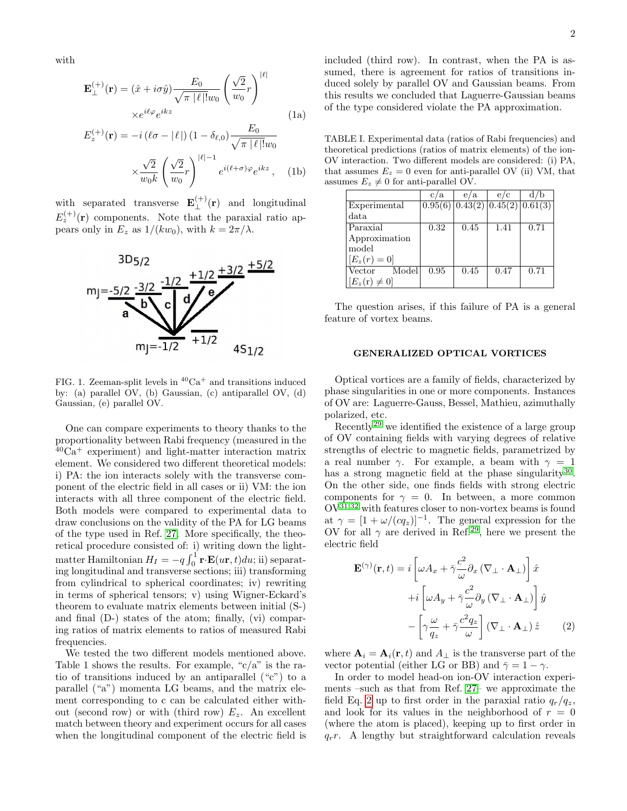with

<span id="page-1-1"></span>
$$
\mathbf{E}_{\perp}^{(+)}(\mathbf{r}) = (\hat{x} + i\sigma \hat{y}) \frac{E_0}{\sqrt{\pi |\ell|! w_0}} \left(\frac{\sqrt{2}}{w_0} r\right)^{|\ell|}
$$

$$
\times e^{i\ell\varphi} e^{ikz}
$$
(1a)

$$
E_z^{(+)}(\mathbf{r}) = -i \left( \ell \sigma - |\ell| \right) \left( 1 - \delta_{\ell,0} \right) \frac{E_0}{\sqrt{\pi |\ell|! w_0}}
$$

$$
\times \frac{\sqrt{2}}{w_0 k} \left( \frac{\sqrt{2}}{w_0} r \right)^{|\ell|-1} e^{i(\ell+\sigma)\varphi} e^{ikz} , \quad \text{(1b)}
$$

with separated transverse  $\mathbf{E}_{\perp}^{(+)}(\mathbf{r})$  and longitudinal  $E_z^{(+)}(\mathbf{r})$  components. Note that the paraxial ratio appears only in  $E_z$  as  $1/(kw_0)$ , with  $k = 2\pi/\lambda$ .



FIG. 1. Zeeman-split levels in  ${}^{40}Ca<sup>+</sup>$  and transitions induced by: (a) parallel OV, (b) Gaussian, (c) antiparallel OV, (d) Gaussian, (e) parallel OV.

One can compare experiments to theory thanks to the proportionality between Rabi frequency (measured in the  $^{40}Ca^{+}$  experiment) and light-matter interaction matrix element. We considered two different theoretical models: i) PA: the ion interacts solely with the transverse component of the electric field in all cases or ii) VM: the ion interacts with all three component of the electric field. Both models were compared to experimental data to draw conclusions on the validity of the PA for LG beams of the type used in Ref. [27.](#page-3-1) More specifically, the theoretical procedure consisted of: i) writing down the lightmatter Hamiltonian  $H_I = -q \int_0^1 \mathbf{r} \cdot \mathbf{E}(u\mathbf{r}, t) du$ ; ii) separating longitudinal and transverse sections; iii) transforming from cylindrical to spherical coordinates; iv) rewriting in terms of spherical tensors; v) using Wigner-Eckard's theorem to evaluate matrix elements between initial (S-) and final (D-) states of the atom; finally, (vi) comparing ratios of matrix elements to ratios of measured Rabi frequencies.

We tested the two different models mentioned above. Table 1 shows the results. For example, " $c/a$ " is the ratio of transitions induced by an antiparallel ("c") to a parallel ("a") momenta LG beams, and the matrix element corresponding to c can be calculated either without (second row) or with (third row)  $E_z$ . An excellent match between theory and experiment occurs for all cases when the longitudinal component of the electric field is included (third row). In contrast, when the PA is assumed, there is agreement for ratios of transitions induced solely by parallel OV and Gaussian beams. From this results we concluded that Laguerre-Gaussian beams of the type considered violate the PA approximation.

TABLE I. Experimental data (ratios of Rabi frequencies) and theoretical predictions (ratios of matrix elements) of the ion-OV interaction. Two different models are considered: (i) PA, that assumes  $E_z = 0$  even for anti-parallel OV (ii) VM, that assumes  $E_z \neq 0$  for anti-parallel OV.

|                           | c/a  | e/a                                   | e/c  |      |
|---------------------------|------|---------------------------------------|------|------|
| Experimental              |      | 0.95(6)   0.43(2)   0.45(2)   0.61(3) |      |      |
| data                      |      |                                       |      |      |
| Paraxial                  | 0.32 | 0.45                                  | 1.41 | 0.71 |
| Approximation             |      |                                       |      |      |
| model                     |      |                                       |      |      |
| $[E_z(r) = 0]$            |      |                                       |      |      |
| Model<br>Vector           | 0.95 | 0.45                                  | 0.47 | 0.71 |
| $[E_z(\mathbf{r})\neq 0]$ |      |                                       |      |      |

The question arises, if this failure of PA is a general feature of vortex beams.

## GENERALIZED OPTICAL VORTICES

Optical vortices are a family of fields, characterized by phase singularities in one or more components. Instances of OV are: Laguerre-Gauss, Bessel, Mathieu, azimuthally polarized, etc.

Recently[29](#page-3-3) we identified the existence of a large group of OV containing fields with varying degrees of relative strengths of electric to magnetic fields, parametrized by a real number  $\gamma$ . For example, a beam with  $\gamma = 1$ has a strong magnetic field at the phase singularity<sup>[30](#page-3-4)</sup>. On the other side, one finds fields with strong electric components for  $\gamma = 0$ . In between, a more common  $\mathrm{OV}^{31,32}$  $\mathrm{OV}^{31,32}$  $\mathrm{OV}^{31,32}$  $\mathrm{OV}^{31,32}$  with features closer to non-vortex beams is found at  $\gamma = [1 + \omega/(cq_z)]^{-1}$ . The general expression for the OV for all  $\gamma$  are derived in Ref.<sup>[29](#page-3-3)</sup>, here we present the electric field

<span id="page-1-0"></span>
$$
\mathbf{E}^{(\gamma)}(\mathbf{r},t) = i \left[ \omega A_x + \bar{\gamma} \frac{c^2}{\omega} \partial_x (\nabla_{\perp} \cdot \mathbf{A}_{\perp}) \right] \hat{x} + i \left[ \omega A_y + \bar{\gamma} \frac{c^2}{\omega} \partial_y (\nabla_{\perp} \cdot \mathbf{A}_{\perp}) \right] \hat{y} - \left[ \gamma \frac{\omega}{q_z} + \bar{\gamma} \frac{c^2 q_z}{\omega} \right] (\nabla_{\perp} \cdot \mathbf{A}_{\perp}) \hat{z}
$$
(2)

where  $\mathbf{A}_i = \mathbf{A}_i(\mathbf{r}, t)$  and  $A_{\perp}$  is the transverse part of the vector potential (either LG or BB) and  $\bar{\gamma} = 1 - \gamma$ .

In order to model head-on ion-OV interaction experiments –such as that from Ref. [27–](#page-3-1) we approximate the field Eq. [2](#page-1-0) up to first order in the paraxial ratio  $q_r/q_z$ , and look for its values in the neighborhood of  $r = 0$ (where the atom is placed), keeping up to first order in  $q_r$ . A lengthy but straightforward calculation reveals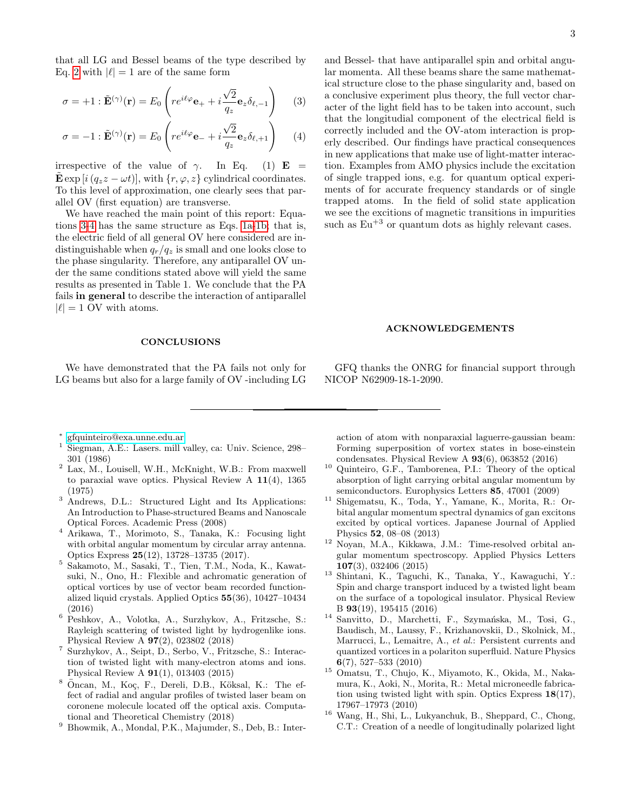that all LG and Bessel beams of the type described by Eq. [2](#page-1-0) with  $|\ell| = 1$  are of the same form

<span id="page-2-6"></span>
$$
\sigma = +1 : \tilde{\mathbf{E}}^{(\gamma)}(\mathbf{r}) = E_0 \left( r e^{i\ell \varphi} \mathbf{e}_+ + i \frac{\sqrt{2}}{q_z} \mathbf{e}_z \delta_{\ell, -1} \right)
$$
 (3)

$$
\sigma = -1 : \tilde{\mathbf{E}}^{(\gamma)}(\mathbf{r}) = E_0 \left( r e^{i\ell \varphi} \mathbf{e}_- + i \frac{\sqrt{2}}{q_z} \mathbf{e}_z \delta_{\ell, +1} \right) \tag{4}
$$

irrespective of the value of  $\gamma$ . In Eq. (1) **E** = E exp  $[i(q_zz - \omega t)]$ , with  $\{r, \varphi, z\}$  cylindrical coordinates. To this level of approximation, one clearly sees that parallel OV (first equation) are transverse.

We have reached the main point of this report: Equations [3-4](#page-2-6) has the same structure as Eqs. [1a-1b;](#page-1-1) that is, the electric field of all general OV here considered are indistinguishable when  $q_r/q_z$  is small and one looks close to the phase singularity. Therefore, any antiparallel OV under the same conditions stated above will yield the same results as presented in Table 1. We conclude that the PA fails in general to describe the interaction of antiparallel  $|\ell| = 1$  OV with atoms.

### **CONCLUSIONS**

We have demonstrated that the PA fails not only for LG beams but also for a large family of OV -including LG and Bessel- that have antiparallel spin and orbital angular momenta. All these beams share the same mathematical structure close to the phase singularity and, based on a conclusive experiment plus theory, the full vector character of the light field has to be taken into account, such that the longitudial component of the electrical field is correctly included and the OV-atom interaction is properly described. Our findings have practical consequences in new applications that make use of light-matter interaction. Examples from AMO physics include the excitation of single trapped ions, e.g. for quantum optical experiments of for accurate frequency standards or of single trapped atoms. In the field of solid state application we see the excitions of magnetic transitions in impurities such as  $Eu^{+3}$  or quantum dots as highly relevant cases.

### ACKNOWLEDGEMENTS

GFQ thanks the ONRG for financial support through NICOP N62909-18-1-2090.

- <span id="page-2-0"></span>∗ [gfquinteiro@exa.unne.edu.ar](mailto:gfquinteiro@exa.unne.edu.ar)
- <span id="page-2-1"></span><sup>1</sup> Siegman, A.E.: Lasers. mill valley, ca: Univ. Science, 298– 301 (1986)
- <span id="page-2-2"></span><sup>2</sup> Lax, M., Louisell, W.H., McKnight, W.B.: From maxwell to paraxial wave optics. Physical Review A 11(4), 1365 (1975)
- <span id="page-2-3"></span><sup>3</sup> Andrews, D.L.: Structured Light and Its Applications: An Introduction to Phase-structured Beams and Nanoscale Optical Forces. Academic Press (2008)
- <sup>4</sup> Arikawa, T., Morimoto, S., Tanaka, K.: Focusing light with orbital angular momentum by circular array antenna. Optics Express 25(12), 13728–13735 (2017).
- <sup>5</sup> Sakamoto, M., Sasaki, T., Tien, T.M., Noda, K., Kawatsuki, N., Ono, H.: Flexible and achromatic generation of optical vortices by use of vector beam recorded functionalized liquid crystals. Applied Optics 55(36), 10427–10434 (2016)
- <sup>6</sup> Peshkov, A., Volotka, A., Surzhykov, A., Fritzsche, S.: Rayleigh scattering of twisted light by hydrogenlike ions. Physical Review A 97(2), 023802 (2018)
- <sup>7</sup> Surzhykov, A., Seipt, D., Serbo, V., Fritzsche, S.: Interaction of twisted light with many-electron atoms and ions. Physical Review A 91(1), 013403 (2015)
- Öncan, M., Koç, F., Dereli, D.B., Köksal, K.: The effect of radial and angular profiles of twisted laser beam on coronene molecule located off the optical axis. Computational and Theoretical Chemistry (2018)
- $9$  Bhowmik, A., Mondal, P.K., Majumder, S., Deb, B.: Inter-

action of atom with nonparaxial laguerre-gaussian beam: Forming superposition of vortex states in bose-einstein condensates. Physical Review A 93(6), 063852 (2016)

- <sup>10</sup> Quinteiro, G.F., Tamborenea, P.I.: Theory of the optical absorption of light carrying orbital angular momentum by semiconductors. Europhysics Letters 85, 47001 (2009)
- <sup>11</sup> Shigematsu, K., Toda, Y., Yamane, K., Morita, R.: Orbital angular momentum spectral dynamics of gan excitons excited by optical vortices. Japanese Journal of Applied Physics 52, 08–08 (2013)
- <sup>12</sup> Noyan, M.A., Kikkawa, J.M.: Time-resolved orbital angular momentum spectroscopy. Applied Physics Letters 107(3), 032406 (2015)
- <sup>13</sup> Shintani, K., Taguchi, K., Tanaka, Y., Kawaguchi, Y.: Spin and charge transport induced by a twisted light beam on the surface of a topological insulator. Physical Review B 93(19), 195415 (2016)
- <span id="page-2-4"></span><sup>14</sup> Sanvitto, D., Marchetti, F., Szymańska, M., Tosi, G., Baudisch, M., Laussy, F., Krizhanovskii, D., Skolnick, M., Marrucci, L., Lemaitre, A., et al.: Persistent currents and quantized vortices in a polariton superfluid. Nature Physics 6(7), 527–533 (2010)
- <span id="page-2-5"></span><sup>15</sup> Omatsu, T., Chujo, K., Miyamoto, K., Okida, M., Nakamura, K., Aoki, N., Morita, R.: Metal microneedle fabrication using twisted light with spin. Optics Express 18(17), 17967–17973 (2010)
- <sup>16</sup> Wang, H., Shi, L., Lukyanchuk, B., Sheppard, C., Chong, C.T.: Creation of a needle of longitudinally polarized light